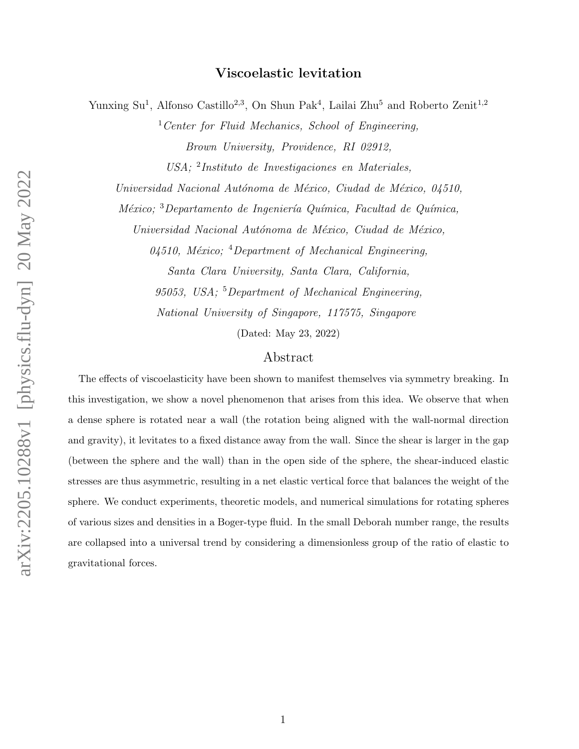# Viscoelastic levitation

Yunxing Su<sup>1</sup>, Alfonso Castillo<sup>2,3</sup>, On Shun Pak<sup>4</sup>, Lailai Zhu<sup>5</sup> and Roberto Zenit<sup>1,2</sup>

 $1$  Center for Fluid Mechanics, School of Engineering, Brown University, Providence, RI 02912,

USA; <sup>2</sup> Instituto de Investigaciones en Materiales,

Universidad Nacional Autónoma de México, Ciudad de México, 04510,

 $México;$ <sup>3</sup>Departamento de Ingeniería Química, Facultad de Química,

Universidad Nacional Autónoma de México, Ciudad de México,

04510, México; <sup>4</sup>Department of Mechanical Engineering, Santa Clara University, Santa Clara, California, 95053, USA; <sup>5</sup>Department of Mechanical Engineering, National University of Singapore, 117575, Singapore

(Dated: May 23, 2022)

# Abstract

The effects of viscoelasticity have been shown to manifest themselves via symmetry breaking. In this investigation, we show a novel phenomenon that arises from this idea. We observe that when a dense sphere is rotated near a wall (the rotation being aligned with the wall-normal direction and gravity), it levitates to a fixed distance away from the wall. Since the shear is larger in the gap (between the sphere and the wall) than in the open side of the sphere, the shear-induced elastic stresses are thus asymmetric, resulting in a net elastic vertical force that balances the weight of the sphere. We conduct experiments, theoretic models, and numerical simulations for rotating spheres of various sizes and densities in a Boger-type fluid. In the small Deborah number range, the results are collapsed into a universal trend by considering a dimensionless group of the ratio of elastic to gravitational forces.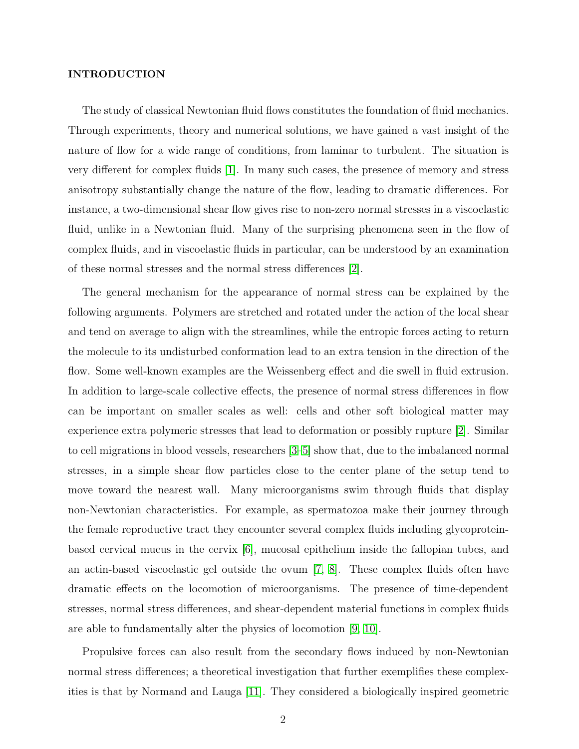## INTRODUCTION

The study of classical Newtonian fluid flows constitutes the foundation of fluid mechanics. Through experiments, theory and numerical solutions, we have gained a vast insight of the nature of flow for a wide range of conditions, from laminar to turbulent. The situation is very different for complex fluids [\[1\]](#page-15-0). In many such cases, the presence of memory and stress anisotropy substantially change the nature of the flow, leading to dramatic differences. For instance, a two-dimensional shear flow gives rise to non-zero normal stresses in a viscoelastic fluid, unlike in a Newtonian fluid. Many of the surprising phenomena seen in the flow of complex fluids, and in viscoelastic fluids in particular, can be understood by an examination of these normal stresses and the normal stress differences [\[2\]](#page-15-1).

The general mechanism for the appearance of normal stress can be explained by the following arguments. Polymers are stretched and rotated under the action of the local shear and tend on average to align with the streamlines, while the entropic forces acting to return the molecule to its undisturbed conformation lead to an extra tension in the direction of the flow. Some well-known examples are the Weissenberg effect and die swell in fluid extrusion. In addition to large-scale collective effects, the presence of normal stress differences in flow can be important on smaller scales as well: cells and other soft biological matter may experience extra polymeric stresses that lead to deformation or possibly rupture [\[2\]](#page-15-1). Similar to cell migrations in blood vessels, researchers [\[3–](#page-15-2)[5\]](#page-15-3) show that, due to the imbalanced normal stresses, in a simple shear flow particles close to the center plane of the setup tend to move toward the nearest wall. Many microorganisms swim through fluids that display non-Newtonian characteristics. For example, as spermatozoa make their journey through the female reproductive tract they encounter several complex fluids including glycoproteinbased cervical mucus in the cervix [\[6\]](#page-15-4), mucosal epithelium inside the fallopian tubes, and an actin-based viscoelastic gel outside the ovum [\[7,](#page-15-5) [8\]](#page-16-0). These complex fluids often have dramatic effects on the locomotion of microorganisms. The presence of time-dependent stresses, normal stress differences, and shear-dependent material functions in complex fluids are able to fundamentally alter the physics of locomotion [\[9,](#page-16-1) [10\]](#page-16-2).

Propulsive forces can also result from the secondary flows induced by non-Newtonian normal stress differences; a theoretical investigation that further exemplifies these complexities is that by Normand and Lauga [\[11\]](#page-16-3). They considered a biologically inspired geometric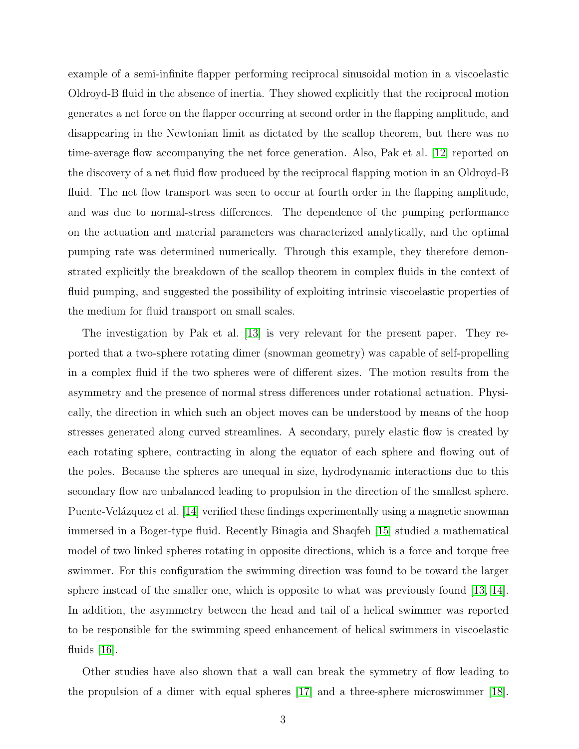example of a semi-infinite flapper performing reciprocal sinusoidal motion in a viscoelastic Oldroyd-B fluid in the absence of inertia. They showed explicitly that the reciprocal motion generates a net force on the flapper occurring at second order in the flapping amplitude, and disappearing in the Newtonian limit as dictated by the scallop theorem, but there was no time-average flow accompanying the net force generation. Also, Pak et al. [\[12\]](#page-16-4) reported on the discovery of a net fluid flow produced by the reciprocal flapping motion in an Oldroyd-B fluid. The net flow transport was seen to occur at fourth order in the flapping amplitude, and was due to normal-stress differences. The dependence of the pumping performance on the actuation and material parameters was characterized analytically, and the optimal pumping rate was determined numerically. Through this example, they therefore demonstrated explicitly the breakdown of the scallop theorem in complex fluids in the context of fluid pumping, and suggested the possibility of exploiting intrinsic viscoelastic properties of the medium for fluid transport on small scales.

The investigation by Pak et al. [\[13\]](#page-16-5) is very relevant for the present paper. They reported that a two-sphere rotating dimer (snowman geometry) was capable of self-propelling in a complex fluid if the two spheres were of different sizes. The motion results from the asymmetry and the presence of normal stress differences under rotational actuation. Physically, the direction in which such an object moves can be understood by means of the hoop stresses generated along curved streamlines. A secondary, purely elastic flow is created by each rotating sphere, contracting in along the equator of each sphere and flowing out of the poles. Because the spheres are unequal in size, hydrodynamic interactions due to this secondary flow are unbalanced leading to propulsion in the direction of the smallest sphere. Puente-Velázquez et al. [\[14\]](#page-16-6) verified these findings experimentally using a magnetic snowman immersed in a Boger-type fluid. Recently Binagia and Shaqfeh [\[15\]](#page-16-7) studied a mathematical model of two linked spheres rotating in opposite directions, which is a force and torque free swimmer. For this configuration the swimming direction was found to be toward the larger sphere instead of the smaller one, which is opposite to what was previously found [\[13,](#page-16-5) [14\]](#page-16-6). In addition, the asymmetry between the head and tail of a helical swimmer was reported to be responsible for the swimming speed enhancement of helical swimmers in viscoelastic fluids  $[16]$ .

Other studies have also shown that a wall can break the symmetry of flow leading to the propulsion of a dimer with equal spheres [\[17\]](#page-16-9) and a three-sphere microswimmer [\[18\]](#page-16-10).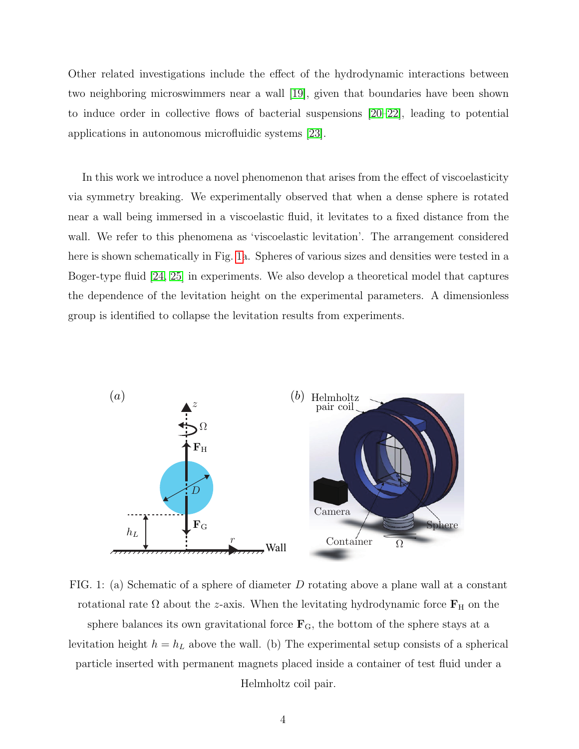Other related investigations include the effect of the hydrodynamic interactions between two neighboring microswimmers near a wall [\[19\]](#page-16-11), given that boundaries have been shown to induce order in collective flows of bacterial suspensions [\[20–](#page-16-12)[22\]](#page-16-13), leading to potential applications in autonomous microfluidic systems [\[23\]](#page-17-0).

In this work we introduce a novel phenomenon that arises from the effect of viscoelasticity via symmetry breaking. We experimentally observed that when a dense sphere is rotated near a wall being immersed in a viscoelastic fluid, it levitates to a fixed distance from the wall. We refer to this phenomena as 'viscoelastic levitation'. The arrangement considered here is shown schematically in Fig. [1a](#page-3-0). Spheres of various sizes and densities were tested in a Boger-type fluid [\[24,](#page-17-1) [25\]](#page-17-2) in experiments. We also develop a theoretical model that captures the dependence of the levitation height on the experimental parameters. A dimensionless group is identified to collapse the levitation results from experiments.

<span id="page-3-0"></span>

FIG. 1: (a) Schematic of a sphere of diameter D rotating above a plane wall at a constant rotational rate  $\Omega$  about the z-axis. When the levitating hydrodynamic force  $\mathbf{F}_{\rm H}$  on the sphere balances its own gravitational force  $\mathbf{F}_G$ , the bottom of the sphere stays at a levitation height  $h = h_L$  above the wall. (b) The experimental setup consists of a spherical particle inserted with permanent magnets placed inside a container of test fluid under a Helmholtz coil pair.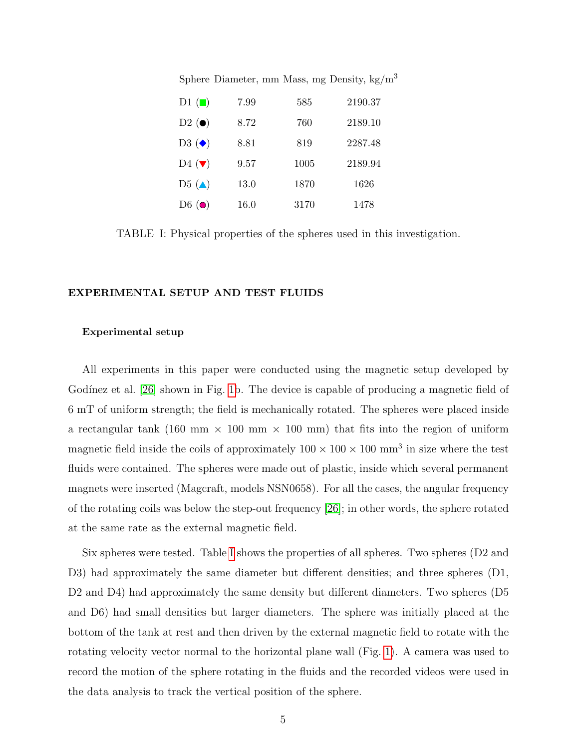<span id="page-4-0"></span>

| D1 $\left(\blacksquare\right)$ | 7.99 | 585  | 2190.37 |
|--------------------------------|------|------|---------|
| $D2(\bullet)$                  | 8.72 | 760  | 2189.10 |
| $D3(\blacklozenge)$            | 8.81 | 819  | 2287.48 |
| D <sub>4</sub> $(\nabla)$      | 9.57 | 1005 | 2189.94 |
| D <sub>5</sub> $(\triangle)$   | 13.0 | 1870 | 1626    |
| D <sub>6</sub> $\odot$         | 16.0 | 3170 | 1478    |

TABLE I: Physical properties of the spheres used in this investigation.

## EXPERIMENTAL SETUP AND TEST FLUIDS

# Experimental setup

All experiments in this paper were conducted using the magnetic setup developed by Godínez et al. [\[26\]](#page-17-3) shown in Fig. [1b](#page-3-0). The device is capable of producing a magnetic field of 6 mT of uniform strength; the field is mechanically rotated. The spheres were placed inside a rectangular tank (160 mm  $\times$  100 mm  $\times$  100 mm) that fits into the region of uniform magnetic field inside the coils of approximately  $100 \times 100 \times 100$  mm<sup>3</sup> in size where the test fluids were contained. The spheres were made out of plastic, inside which several permanent magnets were inserted (Magcraft, models NSN0658). For all the cases, the angular frequency of the rotating coils was below the step-out frequency [\[26\]](#page-17-3); in other words, the sphere rotated at the same rate as the external magnetic field.

Six spheres were tested. Table [I](#page-4-0) shows the properties of all spheres. Two spheres (D2 and D3) had approximately the same diameter but different densities; and three spheres (D1, D<sub>2</sub> and D<sub>4</sub>) had approximately the same density but different diameters. Two spheres (D<sub>5</sub>) and D6) had small densities but larger diameters. The sphere was initially placed at the bottom of the tank at rest and then driven by the external magnetic field to rotate with the rotating velocity vector normal to the horizontal plane wall (Fig. [1\)](#page-3-0). A camera was used to record the motion of the sphere rotating in the fluids and the recorded videos were used in the data analysis to track the vertical position of the sphere.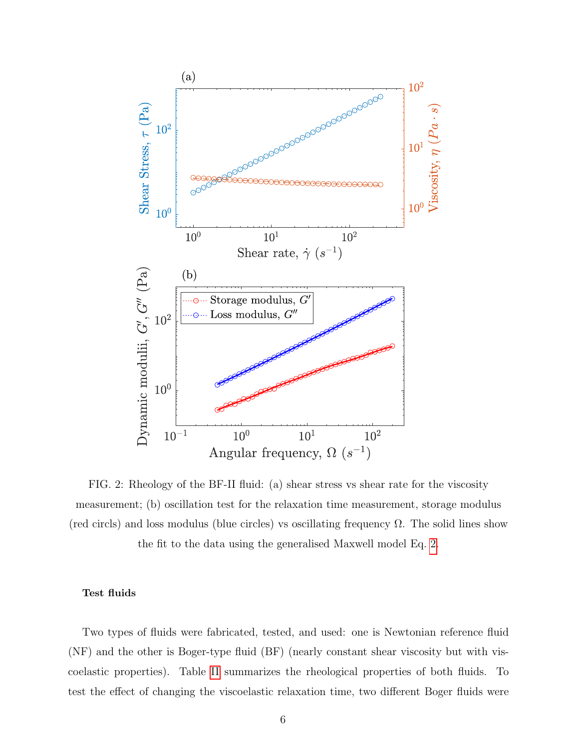<span id="page-5-0"></span>

FIG. 2: Rheology of the BF-II fluid: (a) shear stress vs shear rate for the viscosity measurement; (b) oscillation test for the relaxation time measurement, storage modulus (red circls) and loss modulus (blue circles) vs oscillating frequency  $\Omega$ . The solid lines show the fit to the data using the generalised Maxwell model Eq. [2.](#page-7-0)

# Test fluids

Two types of fluids were fabricated, tested, and used: one is Newtonian reference fluid (NF) and the other is Boger-type fluid (BF) (nearly constant shear viscosity but with viscoelastic properties). Table [II](#page-7-1) summarizes the rheological properties of both fluids. To test the effect of changing the viscoelastic relaxation time, two different Boger fluids were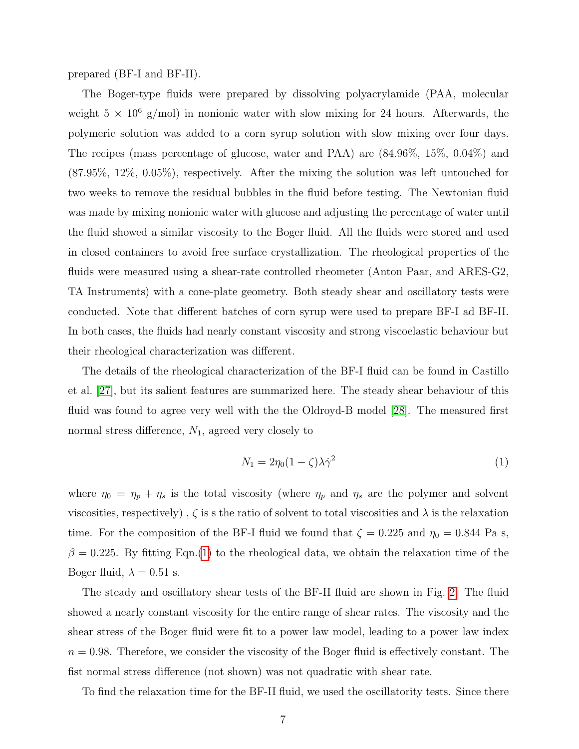prepared (BF-I and BF-II).

The Boger-type fluids were prepared by dissolving polyacrylamide (PAA, molecular weight  $5 \times 10^6$  g/mol) in nonionic water with slow mixing for 24 hours. Afterwards, the polymeric solution was added to a corn syrup solution with slow mixing over four days. The recipes (mass percentage of glucose, water and PAA) are (84.96%, 15%, 0.04%) and (87.95%, 12%, 0.05%), respectively. After the mixing the solution was left untouched for two weeks to remove the residual bubbles in the fluid before testing. The Newtonian fluid was made by mixing nonionic water with glucose and adjusting the percentage of water until the fluid showed a similar viscosity to the Boger fluid. All the fluids were stored and used in closed containers to avoid free surface crystallization. The rheological properties of the fluids were measured using a shear-rate controlled rheometer (Anton Paar, and ARES-G2, TA Instruments) with a cone-plate geometry. Both steady shear and oscillatory tests were conducted. Note that different batches of corn syrup were used to prepare BF-I ad BF-II. In both cases, the fluids had nearly constant viscosity and strong viscoelastic behaviour but their rheological characterization was different.

The details of the rheological characterization of the BF-I fluid can be found in Castillo et al. [\[27\]](#page-17-4), but its salient features are summarized here. The steady shear behaviour of this fluid was found to agree very well with the the Oldroyd-B model [\[28\]](#page-17-5). The measured first normal stress difference,  $N_1$ , agreed very closely to

<span id="page-6-0"></span>
$$
N_1 = 2\eta_0 (1 - \zeta) \lambda \dot{\gamma}^2 \tag{1}
$$

where  $\eta_0 = \eta_p + \eta_s$  is the total viscosity (where  $\eta_p$  and  $\eta_s$  are the polymer and solvent viscosities, respectively),  $\zeta$  is s the ratio of solvent to total viscosities and  $\lambda$  is the relaxation time. For the composition of the BF-I fluid we found that  $\zeta = 0.225$  and  $\eta_0 = 0.844$  Pa s,  $\beta = 0.225$ . By fitting Eqn.[\(1\)](#page-6-0) to the rheological data, we obtain the relaxation time of the Boger fluid,  $\lambda = 0.51$  s.

The steady and oscillatory shear tests of the BF-II fluid are shown in Fig. [2.](#page-5-0) The fluid showed a nearly constant viscosity for the entire range of shear rates. The viscosity and the shear stress of the Boger fluid were fit to a power law model, leading to a power law index  $n = 0.98$ . Therefore, we consider the viscosity of the Boger fluid is effectively constant. The fist normal stress difference (not shown) was not quadratic with shear rate.

To find the relaxation time for the BF-II fluid, we used the oscillatority tests. Since there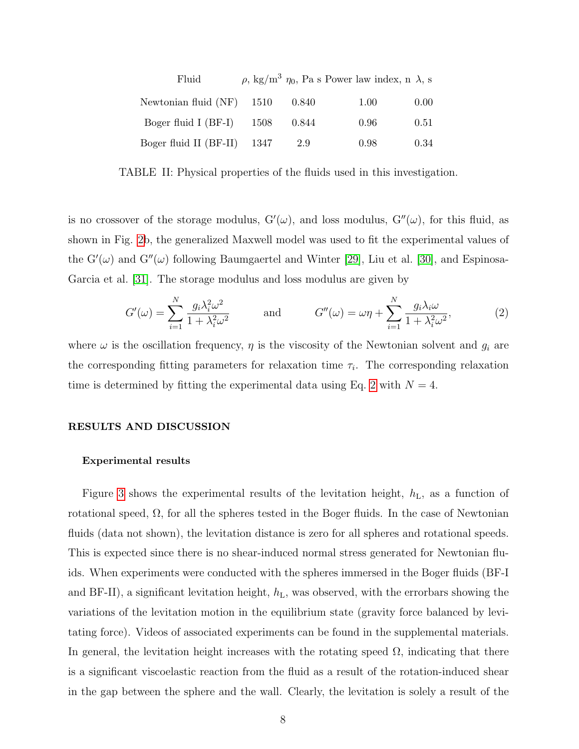<span id="page-7-1"></span>

| Fluid                             |     | $\rho$ , kg/m <sup>3</sup> $\eta_0$ , Pa s Power law index, n $\lambda$ , s |      |
|-----------------------------------|-----|-----------------------------------------------------------------------------|------|
| Newtonian fluid $(NF)$ 1510 0.840 |     | 1.00                                                                        | 0.00 |
| Boger fluid I (BF-I) $1508$ 0.844 |     | 0.96                                                                        | 0.51 |
| Boger fluid II (BF-II) 1347       | 2.9 | 0.98                                                                        | 0.34 |

TABLE II: Physical properties of the fluids used in this investigation.

is no crossover of the storage modulus,  $G'(\omega)$ , and loss modulus,  $G''(\omega)$ , for this fluid, as shown in Fig. [2b](#page-5-0), the generalized Maxwell model was used to fit the experimental values of the  $G'(\omega)$  and  $G''(\omega)$  following Baumgaertel and Winter [\[29\]](#page-17-6), Liu et al. [\[30\]](#page-17-7), and Espinosa-Garcia et al. [\[31\]](#page-17-8). The storage modulus and loss modulus are given by

<span id="page-7-0"></span>
$$
G'(\omega) = \sum_{i=1}^{N} \frac{g_i \lambda_i^2 \omega^2}{1 + \lambda_i^2 \omega^2} \quad \text{and} \quad G''(\omega) = \omega \eta + \sum_{i=1}^{N} \frac{g_i \lambda_i \omega}{1 + \lambda_i^2 \omega^2},
$$
 (2)

where  $\omega$  is the oscillation frequency,  $\eta$  is the viscosity of the Newtonian solvent and  $g_i$  are the corresponding fitting parameters for relaxation time  $\tau_i$ . The corresponding relaxation time is determined by fitting the experimental data using Eq. [2](#page-7-0) with  $N = 4$ .

## RESULTS AND DISCUSSION

#### Experimental results

Figure [3](#page-8-0) shows the experimental results of the levitation height,  $h<sub>L</sub>$ , as a function of rotational speed,  $\Omega$ , for all the spheres tested in the Boger fluids. In the case of Newtonian fluids (data not shown), the levitation distance is zero for all spheres and rotational speeds. This is expected since there is no shear-induced normal stress generated for Newtonian fluids. When experiments were conducted with the spheres immersed in the Boger fluids (BF-I and BF-II), a significant levitation height,  $h<sub>L</sub>$ , was observed, with the errorbars showing the variations of the levitation motion in the equilibrium state (gravity force balanced by levitating force). Videos of associated experiments can be found in the supplemental materials. In general, the levitation height increases with the rotating speed  $\Omega$ , indicating that there is a significant viscoelastic reaction from the fluid as a result of the rotation-induced shear in the gap between the sphere and the wall. Clearly, the levitation is solely a result of the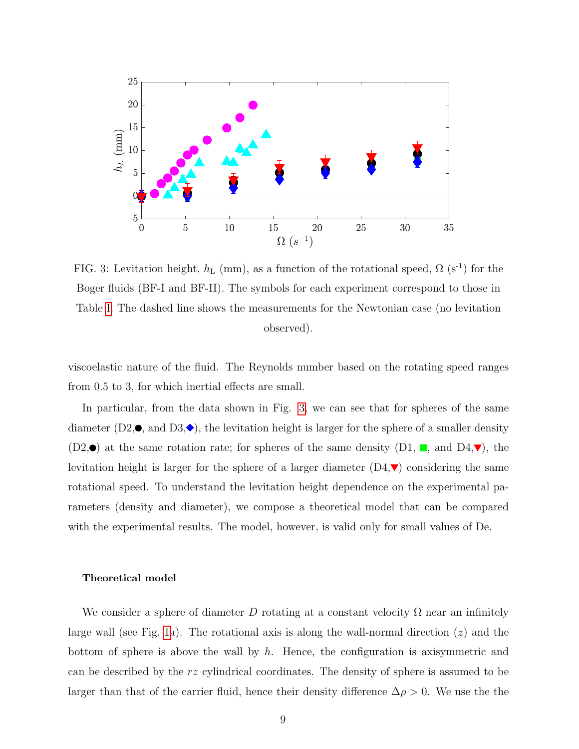<span id="page-8-0"></span>

FIG. 3: Levitation height,  $h_L$  (mm), as a function of the rotational speed,  $\Omega$  (s<sup>-1</sup>) for the Boger fluids (BF-I and BF-II). The symbols for each experiment correspond to those in Table [I.](#page-4-0) The dashed line shows the measurements for the Newtonian case (no levitation observed).

viscoelastic nature of the fluid. The Reynolds number based on the rotating speed ranges from 0.5 to 3, for which inertial effects are small.

In particular, from the data shown in Fig. [3,](#page-8-0) we can see that for spheres of the same diameter (D2, $\bullet$ , and D3, $\bullet$ ), the levitation height is larger for the sphere of a smaller density  $(D2,\bullet)$  at the same rotation rate; for spheres of the same density  $(D1, \blacksquare, \blacksquare, \blacksquare, \blacksquare)$ , the levitation height is larger for the sphere of a larger diameter  $(D4, \nabla)$  considering the same rotational speed. To understand the levitation height dependence on the experimental parameters (density and diameter), we compose a theoretical model that can be compared with the experimental results. The model, however, is valid only for small values of De.

### Theoretical model

We consider a sphere of diameter D rotating at a constant velocity  $\Omega$  near an infinitely large wall (see Fig. [1a](#page-3-0)). The rotational axis is along the wall-normal direction  $(z)$  and the bottom of sphere is above the wall by  $h$ . Hence, the configuration is axisymmetric and can be described by the rz cylindrical coordinates. The density of sphere is assumed to be larger than that of the carrier fluid, hence their density difference  $\Delta \rho > 0$ . We use the the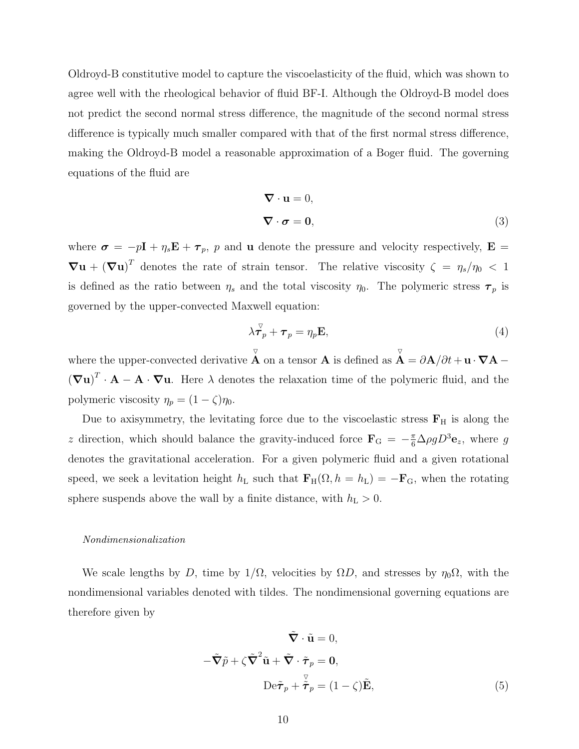Oldroyd-B constitutive model to capture the viscoelasticity of the fluid, which was shown to agree well with the rheological behavior of fluid BF-I. Although the Oldroyd-B model does not predict the second normal stress difference, the magnitude of the second normal stress difference is typically much smaller compared with that of the first normal stress difference, making the Oldroyd-B model a reasonable approximation of a Boger fluid. The governing equations of the fluid are

$$
\nabla \cdot \mathbf{u} = 0,
$$
  

$$
\nabla \cdot \boldsymbol{\sigma} = \mathbf{0},
$$
 (3)

where  $\sigma = -p\mathbf{I} + \eta_s \mathbf{E} + \boldsymbol{\tau}_p$ , p and **u** denote the pressure and velocity respectively,  $\mathbf{E} =$  $\nabla \mathbf{u} + (\nabla \mathbf{u})^T$  denotes the rate of strain tensor. The relative viscosity  $\zeta = \eta_s/\eta_0 < 1$ is defined as the ratio between  $\eta_s$  and the total viscosity  $\eta_0$ . The polymeric stress  $\tau_p$  is governed by the upper-convected Maxwell equation:

$$
\lambda \vec{\boldsymbol{\tau}}_p + \boldsymbol{\tau}_p = \eta_p \mathbf{E},\tag{4}
$$

where the upper-convected derivative  $\overline{\nabla}$ A on a tensor A is defined as  $\triangledown$  $\mathbf{A} = \partial \mathbf{A}/\partial t + \mathbf{u} \cdot \mathbf{\nabla} \mathbf{A}$  –  $(\nabla \mathbf{u})^T \cdot \mathbf{A} - \mathbf{A} \cdot \nabla \mathbf{u}$ . Here  $\lambda$  denotes the relaxation time of the polymeric fluid, and the polymeric viscosity  $\eta_p = (1 - \zeta)\eta_0$ .

Due to axisymmetry, the levitating force due to the viscoelastic stress  $\mathbf{F}_{H}$  is along the z direction, which should balance the gravity-induced force  $\mathbf{F}_G = -\frac{\pi}{6} \Delta \rho g D^3 \mathbf{e}_z$ , where g denotes the gravitational acceleration. For a given polymeric fluid and a given rotational speed, we seek a levitation height  $h_L$  such that  $\mathbf{F}_{H}(\Omega, h = h_L) = -\mathbf{F}_{G}$ , when the rotating sphere suspends above the wall by a finite distance, with  $h_L > 0$ .

### Nondimensionalization

We scale lengths by D, time by  $1/\Omega$ , velocities by  $\Omega D$ , and stresses by  $\eta_0\Omega$ , with the nondimensional variables denoted with tildes. The nondimensional governing equations are therefore given by

<span id="page-9-0"></span>
$$
\tilde{\nabla} \cdot \tilde{\mathbf{u}} = 0,
$$
  

$$
-\tilde{\nabla} \tilde{p} + \zeta \tilde{\nabla}^2 \tilde{\mathbf{u}} + \tilde{\nabla} \cdot \tilde{\boldsymbol{\tau}}_p = \mathbf{0},
$$
  

$$
\text{De} \tilde{\boldsymbol{\tau}}_p + \tilde{\tilde{\boldsymbol{\tau}}}_p = (1 - \zeta) \tilde{\mathbf{E}},
$$
 (5)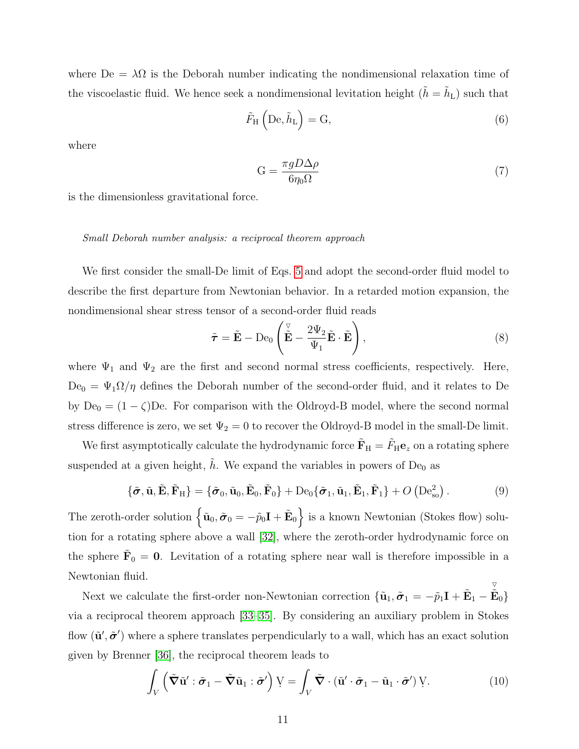where  $De = \lambda \Omega$  is the Deborah number indicating the nondimensional relaxation time of the viscoelastic fluid. We hence seek a nondimensional levitation height  $(\tilde{h} = \tilde{h}_{\rm L})$  such that

$$
\tilde{F}_{\rm H} \left( \mathrm{De}, \tilde{h}_{\rm L} \right) = \mathrm{G},\tag{6}
$$

where

<span id="page-10-0"></span>
$$
G = \frac{\pi g D \Delta \rho}{6 \eta_0 \Omega} \tag{7}
$$

is the dimensionless gravitational force.

### Small Deborah number analysis: a reciprocal theorem approach

We first consider the small-De limit of Eqs. [5](#page-9-0) and adopt the second-order fluid model to describe the first departure from Newtonian behavior. In a retarded motion expansion, the nondimensional shear stress tensor of a second-order fluid reads

$$
\tilde{\boldsymbol{\tau}} = \tilde{\mathbf{E}} - \mathrm{De}_0 \left( \tilde{\tilde{\mathbf{E}}} - \frac{2\Psi_2}{\Psi_1} \tilde{\mathbf{E}} \cdot \tilde{\mathbf{E}} \right), \tag{8}
$$

where  $\Psi_1$  and  $\Psi_2$  are the first and second normal stress coefficients, respectively. Here,  $De_0 = \Psi_1 \Omega / \eta$  defines the Deborah number of the second-order fluid, and it relates to De by  $De_0 = (1 - \zeta)$ De. For comparison with the Oldroyd-B model, where the second normal stress difference is zero, we set  $\Psi_2 = 0$  to recover the Oldroyd-B model in the small-De limit.

We first asymptotically calculate the hydrodynamic force  $\tilde{\mathbf{F}}_{\rm H} = \tilde{F}_{\rm H} \mathbf{e}_z$  on a rotating sphere suspended at a given height,  $\tilde{h}$ . We expand the variables in powers of De<sub>0</sub> as

$$
\{\tilde{\boldsymbol{\sigma}}, \tilde{\mathbf{u}}, \tilde{\mathbf{E}}, \tilde{\mathbf{F}}_{\mathrm{H}}\} = \{\tilde{\boldsymbol{\sigma}}_{0}, \tilde{\mathbf{u}}_{0}, \tilde{\mathbf{E}}_{0}, \tilde{\mathbf{F}}_{0}\} + \mathrm{De}_{0}\{\tilde{\boldsymbol{\sigma}}_{1}, \tilde{\mathbf{u}}_{1}, \tilde{\mathbf{E}}_{1}, \tilde{\mathbf{F}}_{1}\} + O\left(\mathrm{De}_{\mathrm{so}}^{2}\right). \tag{9}
$$

The zeroth-order solution  $\left\{\tilde{\mathbf{u}}_0, \tilde{\boldsymbol{\sigma}}_0 = -\tilde{p}_0\mathbf{I} + \tilde{\mathbf{E}}_0\right\}$  is a known Newtonian (Stokes flow) solution for a rotating sphere above a wall [\[32\]](#page-17-9), where the zeroth-order hydrodynamic force on the sphere  $\tilde{\mathbf{F}}_0 = \mathbf{0}$ . Levitation of a rotating sphere near wall is therefore impossible in a Newtonian fluid.  $\overline{\nabla}$ 

Next we calculate the first-order non-Newtonian correction  $\{\tilde{\mathbf{u}}_1, \tilde{\boldsymbol{\sigma}}_1 = -\tilde{p}_1\mathbf{I} + \tilde{\mathbf{E}}_1 - \tilde{\mathbf{E}}_0\}$ via a reciprocal theorem approach [\[33–](#page-17-10)[35\]](#page-17-11). By considering an auxiliary problem in Stokes flow  $(\tilde{\mathbf{u}}', \tilde{\boldsymbol{\sigma}}')$  where a sphere translates perpendicularly to a wall, which has an exact solution given by Brenner [\[36\]](#page-17-12), the reciprocal theorem leads to

$$
\int_{V} \left( \tilde{\mathbf{V}} \tilde{\mathbf{u}}' : \tilde{\boldsymbol{\sigma}}_{1} - \tilde{\mathbf{V}} \tilde{\mathbf{u}}_{1} : \tilde{\boldsymbol{\sigma}}' \right) V = \int_{V} \tilde{\mathbf{V}} \cdot (\tilde{\mathbf{u}}' \cdot \tilde{\boldsymbol{\sigma}}_{1} - \tilde{\mathbf{u}}_{1} \cdot \tilde{\boldsymbol{\sigma}}') V.
$$
(10)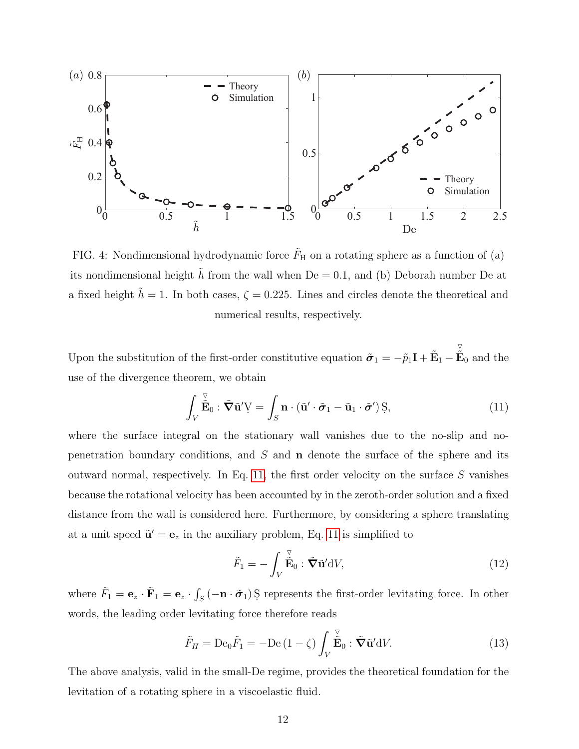<span id="page-11-1"></span>

FIG. 4: Nondimensional hydrodynamic force  $\tilde{F}_{\rm H}$  on a rotating sphere as a function of (a) its nondimensional height h from the wall when  $De = 0.1$ , and (b) Deborah number De at a fixed height  $h = 1$ . In both cases,  $\zeta = 0.225$ . Lines and circles denote the theoretical and numerical results, respectively.

Upon the substitution of the first-order constitutive equation  $\tilde{\sigma}_1 = -\tilde{p}_1 \mathbf{I} + \tilde{\mathbf{E}}_1$  $\triangledown$  $\tilde{\mathbf{E}}_0$  and the use of the divergence theorem, we obtain

$$
\int_{V} \tilde{\tilde{\mathbf{E}}}_{0} : \tilde{\boldsymbol{\nabla}} \tilde{\mathbf{u}}' \mathbf{V} = \int_{S} \mathbf{n} \cdot (\tilde{\mathbf{u}}' \cdot \tilde{\boldsymbol{\sigma}}_{1} - \tilde{\mathbf{u}}_{1} \cdot \tilde{\boldsymbol{\sigma}}') \mathbf{S},
$$
\n(11)

where the surface integral on the stationary wall vanishes due to the no-slip and nopenetration boundary conditions, and  $S$  and  $n$  denote the surface of the sphere and its outward normal, respectively. In Eq. [11,](#page-11-0) the first order velocity on the surface S vanishes because the rotational velocity has been accounted by in the zeroth-order solution and a fixed distance from the wall is considered here. Furthermore, by considering a sphere translating at a unit speed  $\tilde{\mathbf{u}}' = \mathbf{e}_z$  in the auxiliary problem, Eq. [11](#page-11-0) is simplified to

<span id="page-11-3"></span><span id="page-11-2"></span><span id="page-11-0"></span>
$$
\tilde{F}_1 = -\int_V \stackrel{\triangledown}{\tilde{\mathbf{E}}}_0 : \tilde{\boldsymbol{\nabla}} \tilde{\mathbf{u}}' \mathrm{d}V,
$$
\n(12)

where  $\tilde{F}_1 = \mathbf{e}_z \cdot \tilde{\mathbf{F}}_1 = \mathbf{e}_z \cdot \int_S (-\mathbf{n} \cdot \tilde{\boldsymbol{\sigma}}_1) S$  represents the first-order levitating force. In other words, the leading order levitating force therefore reads

$$
\tilde{F}_H = \text{De}_0 \tilde{F}_1 = -\text{De}\left(1 - \zeta\right) \int_V \stackrel{\triangledown}{\tilde{\mathbf{E}}}_0 : \tilde{\boldsymbol{\nabla}} \tilde{\mathbf{u}}' \mathrm{d} V. \tag{13}
$$

The above analysis, valid in the small-De regime, provides the theoretical foundation for the levitation of a rotating sphere in a viscoelastic fluid.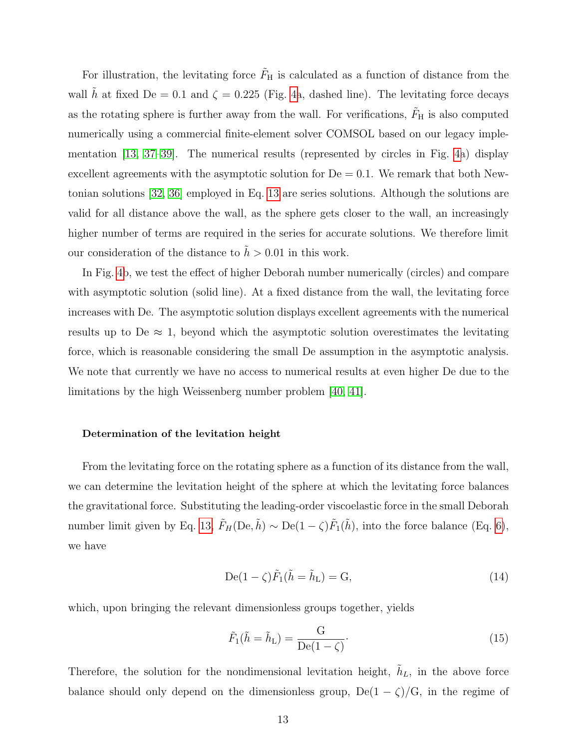For illustration, the levitating force  $\tilde{F}_{\rm H}$  is calculated as a function of distance from the wall  $\tilde{h}$  at fixed De = 0.1 and  $\zeta = 0.225$  (Fig. [4a](#page-11-1), dashed line). The levitating force decays as the rotating sphere is further away from the wall. For verifications,  $\tilde{F}_{H}$  is also computed numerically using a commercial finite-element solver COMSOL based on our legacy implementation [\[13,](#page-16-5) [37](#page-17-13)[–39\]](#page-18-0). The numerical results (represented by circles in Fig. [4a](#page-11-1)) display excellent agreements with the asymptotic solution for  $De = 0.1$ . We remark that both Newtonian solutions [\[32,](#page-17-9) [36\]](#page-17-12) employed in Eq. [13](#page-11-2) are series solutions. Although the solutions are valid for all distance above the wall, as the sphere gets closer to the wall, an increasingly higher number of terms are required in the series for accurate solutions. We therefore limit our consideration of the distance to  $\tilde{h} > 0.01$  in this work.

In Fig. [4b](#page-11-1), we test the effect of higher Deborah number numerically (circles) and compare with asymptotic solution (solid line). At a fixed distance from the wall, the levitating force increases with De. The asymptotic solution displays excellent agreements with the numerical results up to De  $\approx$  1, beyond which the asymptotic solution overestimates the levitating force, which is reasonable considering the small De assumption in the asymptotic analysis. We note that currently we have no access to numerical results at even higher De due to the limitations by the high Weissenberg number problem [\[40,](#page-18-1) [41\]](#page-18-2).

### Determination of the levitation height

From the levitating force on the rotating sphere as a function of its distance from the wall, we can determine the levitation height of the sphere at which the levitating force balances the gravitational force. Substituting the leading-order viscoelastic force in the small Deborah number limit given by Eq. [13,](#page-11-2)  $\tilde{F}_H(\text{De}, \tilde{h}) \sim \text{De}(1 - \zeta)\tilde{F}_1(\tilde{h})$ , into the force balance (Eq. [6\)](#page-10-0), we have

$$
De(1-\zeta)\tilde{F}_1(\tilde{h}=\tilde{h}_L)=G,
$$
\n(14)

which, upon bringing the relevant dimensionless groups together, yields

<span id="page-12-0"></span>
$$
\tilde{F}_1(\tilde{h} = \tilde{h}_L) = \frac{G}{De(1 - \zeta)}.
$$
\n(15)

Therefore, the solution for the nondimensional levitation height,  $\tilde{h}_L$ , in the above force balance should only depend on the dimensionless group,  $De(1 - \zeta)/G$ , in the regime of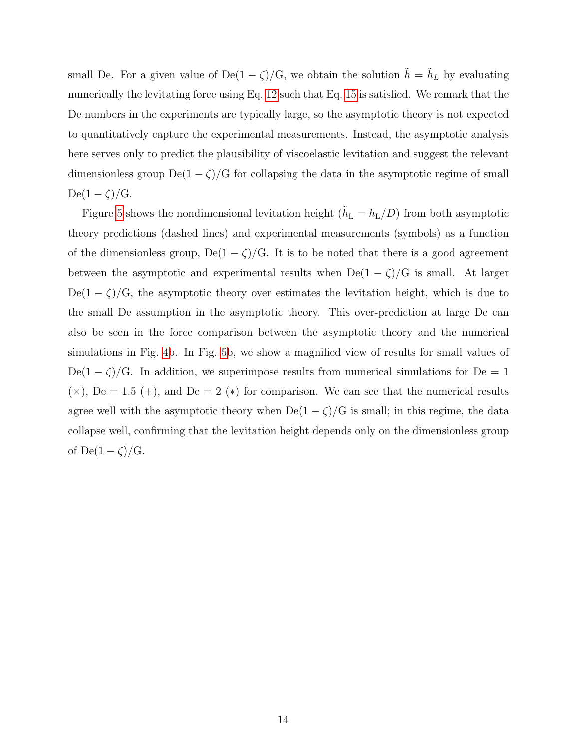small De. For a given value of De(1 –  $\zeta$ )/G, we obtain the solution  $\tilde{h} = \tilde{h}_L$  by evaluating numerically the levitating force using Eq. [12](#page-11-3) such that Eq. [15](#page-12-0) is satisfied. We remark that the De numbers in the experiments are typically large, so the asymptotic theory is not expected to quantitatively capture the experimental measurements. Instead, the asymptotic analysis here serves only to predict the plausibility of viscoelastic levitation and suggest the relevant dimensionless group  $De(1 - \zeta)/G$  for collapsing the data in the asymptotic regime of small  $De(1-\zeta)/G.$ 

Figure [5](#page-14-0) shows the nondimensional levitation height  $(\tilde{h}_{\text{L}} = h_{\text{L}}/D)$  from both asymptotic theory predictions (dashed lines) and experimental measurements (symbols) as a function of the dimensionless group, De( $1 - \zeta$ )/G. It is to be noted that there is a good agreement between the asymptotic and experimental results when  $De(1 - \zeta)/G$  is small. At larger De(1 –  $\zeta$ )/G, the asymptotic theory over estimates the levitation height, which is due to the small De assumption in the asymptotic theory. This over-prediction at large De can also be seen in the force comparison between the asymptotic theory and the numerical simulations in Fig. [4b](#page-11-1). In Fig. [5b](#page-14-0), we show a magnified view of results for small values of  $De(1-\zeta)/G$ . In addition, we superimpose results from numerical simulations for  $De = 1$  $(x)$ , De = 1.5 (+), and De = 2 (\*) for comparison. We can see that the numerical results agree well with the asymptotic theory when  $De(1 - \zeta)/G$  is small; in this regime, the data collapse well, confirming that the levitation height depends only on the dimensionless group of De(1 –  $\zeta$ )/G.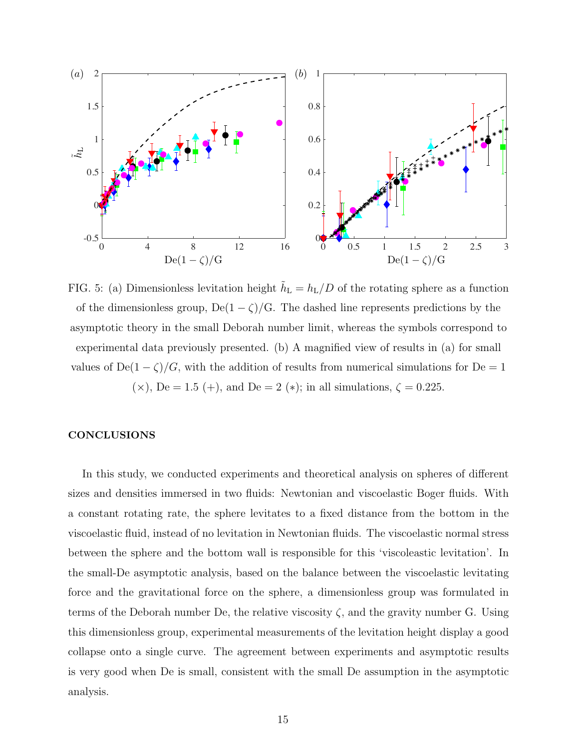<span id="page-14-0"></span>

FIG. 5: (a) Dimensionless levitation height  $\tilde{h}_{\rm L} = h_{\rm L}/D$  of the rotating sphere as a function of the dimensionless group, De(1 –  $\zeta$ )/G. The dashed line represents predictions by the asymptotic theory in the small Deborah number limit, whereas the symbols correspond to experimental data previously presented. (b) A magnified view of results in (a) for small values of De(1 –  $\zeta$ )/G, with the addition of results from numerical simulations for De = 1 ( $\times$ ), De = 1.5 (+), and De = 2 ( $*$ ); in all simulations,  $\zeta = 0.225$ .

# **CONCLUSIONS**

In this study, we conducted experiments and theoretical analysis on spheres of different sizes and densities immersed in two fluids: Newtonian and viscoelastic Boger fluids. With a constant rotating rate, the sphere levitates to a fixed distance from the bottom in the viscoelastic fluid, instead of no levitation in Newtonian fluids. The viscoelastic normal stress between the sphere and the bottom wall is responsible for this 'viscoleastic levitation'. In the small-De asymptotic analysis, based on the balance between the viscoelastic levitating force and the gravitational force on the sphere, a dimensionless group was formulated in terms of the Deborah number De, the relative viscosity  $\zeta$ , and the gravity number G. Using this dimensionless group, experimental measurements of the levitation height display a good collapse onto a single curve. The agreement between experiments and asymptotic results is very good when De is small, consistent with the small De assumption in the asymptotic analysis.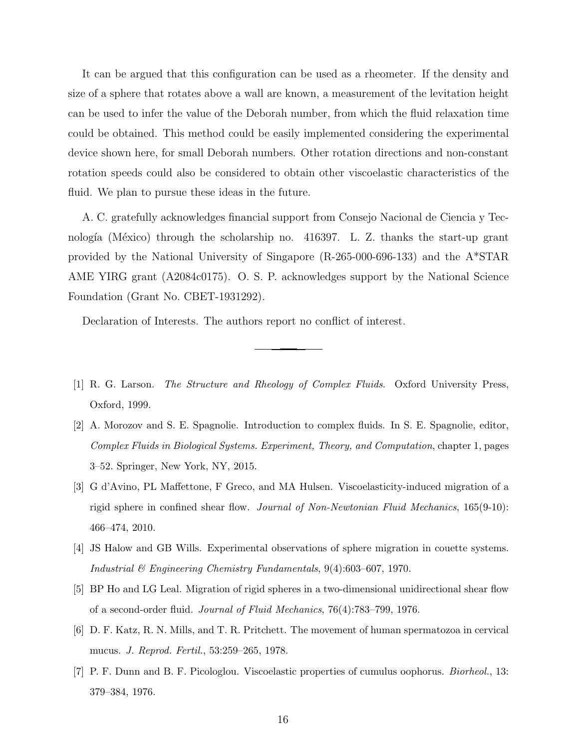It can be argued that this configuration can be used as a rheometer. If the density and size of a sphere that rotates above a wall are known, a measurement of the levitation height can be used to infer the value of the Deborah number, from which the fluid relaxation time could be obtained. This method could be easily implemented considering the experimental device shown here, for small Deborah numbers. Other rotation directions and non-constant rotation speeds could also be considered to obtain other viscoelastic characteristics of the fluid. We plan to pursue these ideas in the future.

A. C. gratefully acknowledges financial support from Consejo Nacional de Ciencia y Tecnología (México) through the scholarship no.  $416397$ . L. Z. thanks the start-up grant provided by the National University of Singapore (R-265-000-696-133) and the A\*STAR AME YIRG grant (A2084c0175). O. S. P. acknowledges support by the National Science Foundation (Grant No. CBET-1931292).

Declaration of Interests. The authors report no conflict of interest.

- <span id="page-15-0"></span>[1] R. G. Larson. The Structure and Rheology of Complex Fluids. Oxford University Press, Oxford, 1999.
- <span id="page-15-1"></span>[2] A. Morozov and S. E. Spagnolie. Introduction to complex fluids. In S. E. Spagnolie, editor, Complex Fluids in Biological Systems. Experiment, Theory, and Computation, chapter 1, pages 3–52. Springer, New York, NY, 2015.
- <span id="page-15-2"></span>[3] G d'Avino, PL Maffettone, F Greco, and MA Hulsen. Viscoelasticity-induced migration of a rigid sphere in confined shear flow. Journal of Non-Newtonian Fluid Mechanics, 165(9-10): 466–474, 2010.
- [4] JS Halow and GB Wills. Experimental observations of sphere migration in couette systems. Industrial & Engineering Chemistry Fundamentals, 9(4):603–607, 1970.
- <span id="page-15-3"></span>[5] BP Ho and LG Leal. Migration of rigid spheres in a two-dimensional unidirectional shear flow of a second-order fluid. Journal of Fluid Mechanics, 76(4):783–799, 1976.
- <span id="page-15-4"></span>[6] D. F. Katz, R. N. Mills, and T. R. Pritchett. The movement of human spermatozoa in cervical mucus. J. Reprod. Fertil., 53:259–265, 1978.
- <span id="page-15-5"></span>[7] P. F. Dunn and B. F. Picologlou. Viscoelastic properties of cumulus oophorus. Biorheol., 13: 379–384, 1976.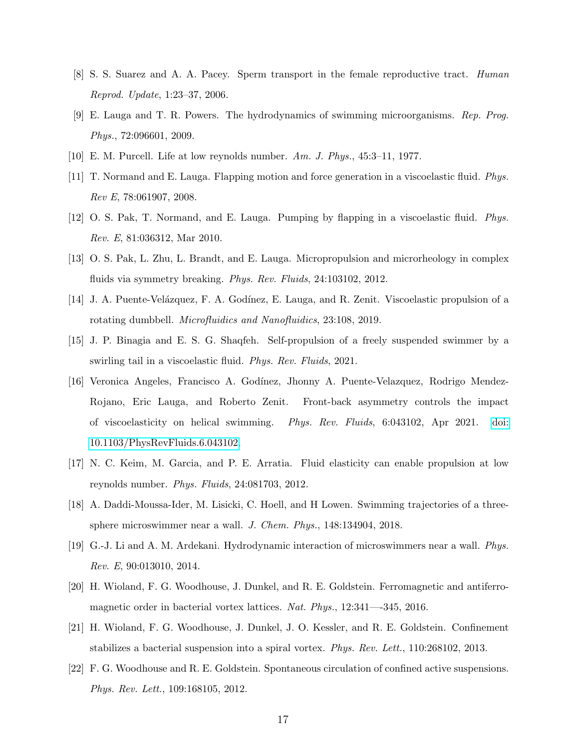- <span id="page-16-0"></span>[8] S. S. Suarez and A. A. Pacey. Sperm transport in the female reproductive tract. Human Reprod. Update, 1:23–37, 2006.
- <span id="page-16-1"></span>[9] E. Lauga and T. R. Powers. The hydrodynamics of swimming microorganisms. Rep. Prog. Phys., 72:096601, 2009.
- <span id="page-16-3"></span><span id="page-16-2"></span>[10] E. M. Purcell. Life at low reynolds number. Am. J. Phys., 45:3–11, 1977.
- [11] T. Normand and E. Lauga. Flapping motion and force generation in a viscoelastic fluid. Phys. Rev E, 78:061907, 2008.
- <span id="page-16-4"></span>[12] O. S. Pak, T. Normand, and E. Lauga. Pumping by flapping in a viscoelastic fluid. Phys. Rev. E, 81:036312, Mar 2010.
- <span id="page-16-5"></span>[13] O. S. Pak, L. Zhu, L. Brandt, and E. Lauga. Micropropulsion and microrheology in complex fluids via symmetry breaking. *Phys. Rev. Fluids*, 24:103102, 2012.
- <span id="page-16-6"></span>[14] J. A. Puente-Velázquez, F. A. Godínez, E. Lauga, and R. Zenit. Viscoelastic propulsion of a rotating dumbbell. Microfluidics and Nanofluidics, 23:108, 2019.
- <span id="page-16-7"></span>[15] J. P. Binagia and E. S. G. Shaqfeh. Self-propulsion of a freely suspended swimmer by a swirling tail in a viscoelastic fluid. Phys. Rev. Fluids, 2021.
- <span id="page-16-8"></span>[16] Veronica Angeles, Francisco A. God´ınez, Jhonny A. Puente-Velazquez, Rodrigo Mendez-Rojano, Eric Lauga, and Roberto Zenit. Front-back asymmetry controls the impact of viscoelasticity on helical swimming. Phys. Rev. Fluids, 6:043102, Apr 2021. [doi:](http://dx.doi.org/10.1103/PhysRevFluids.6.043102) [10.1103/PhysRevFluids.6.043102.](http://dx.doi.org/10.1103/PhysRevFluids.6.043102)
- <span id="page-16-9"></span>[17] N. C. Keim, M. Garcia, and P. E. Arratia. Fluid elasticity can enable propulsion at low reynolds number. Phys. Fluids, 24:081703, 2012.
- <span id="page-16-10"></span>[18] A. Daddi-Moussa-Ider, M. Lisicki, C. Hoell, and H Lowen. Swimming trajectories of a threesphere microswimmer near a wall. J. Chem. Phys., 148:134904, 2018.
- <span id="page-16-11"></span>[19] G.-J. Li and A. M. Ardekani. Hydrodynamic interaction of microswimmers near a wall. Phys. Rev. E, 90:013010, 2014.
- <span id="page-16-12"></span>[20] H. Wioland, F. G. Woodhouse, J. Dunkel, and R. E. Goldstein. Ferromagnetic and antiferromagnetic order in bacterial vortex lattices. Nat. Phys., 12:341—-345, 2016.
- [21] H. Wioland, F. G. Woodhouse, J. Dunkel, J. O. Kessler, and R. E. Goldstein. Confinement stabilizes a bacterial suspension into a spiral vortex. Phys. Rev. Lett., 110:268102, 2013.
- <span id="page-16-13"></span>[22] F. G. Woodhouse and R. E. Goldstein. Spontaneous circulation of confined active suspensions. Phys. Rev. Lett., 109:168105, 2012.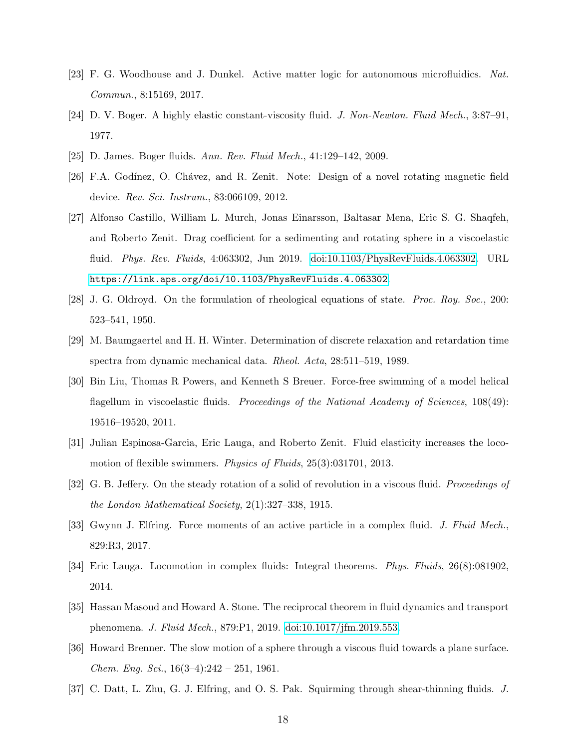- <span id="page-17-0"></span>[23] F. G. Woodhouse and J. Dunkel. Active matter logic for autonomous microfluidics. Nat. Commun., 8:15169, 2017.
- <span id="page-17-1"></span>[24] D. V. Boger. A highly elastic constant-viscosity fluid. J. Non-Newton. Fluid Mech., 3:87–91, 1977.
- <span id="page-17-3"></span><span id="page-17-2"></span>[25] D. James. Boger fluids. Ann. Rev. Fluid Mech., 41:129–142, 2009.
- [26] F.A. Godínez, O. Chávez, and R. Zenit. Note: Design of a novel rotating magnetic field device. Rev. Sci. Instrum., 83:066109, 2012.
- <span id="page-17-4"></span>[27] Alfonso Castillo, William L. Murch, Jonas Einarsson, Baltasar Mena, Eric S. G. Shaqfeh, and Roberto Zenit. Drag coefficient for a sedimenting and rotating sphere in a viscoelastic fluid. Phys. Rev. Fluids, 4:063302, Jun 2019. [doi:10.1103/PhysRevFluids.4.063302.](http://dx.doi.org/10.1103/PhysRevFluids.4.063302) URL <https://link.aps.org/doi/10.1103/PhysRevFluids.4.063302>.
- <span id="page-17-5"></span>[28] J. G. Oldroyd. On the formulation of rheological equations of state. Proc. Roy. Soc., 200: 523–541, 1950.
- <span id="page-17-6"></span>[29] M. Baumgaertel and H. H. Winter. Determination of discrete relaxation and retardation time spectra from dynamic mechanical data. Rheol. Acta, 28:511–519, 1989.
- <span id="page-17-7"></span>[30] Bin Liu, Thomas R Powers, and Kenneth S Breuer. Force-free swimming of a model helical flagellum in viscoelastic fluids. Proceedings of the National Academy of Sciences, 108(49): 19516–19520, 2011.
- <span id="page-17-8"></span>[31] Julian Espinosa-Garcia, Eric Lauga, and Roberto Zenit. Fluid elasticity increases the locomotion of flexible swimmers. *Physics of Fluids*, 25(3):031701, 2013.
- <span id="page-17-9"></span>[32] G. B. Jeffery. On the steady rotation of a solid of revolution in a viscous fluid. Proceedings of the London Mathematical Society, 2(1):327–338, 1915.
- <span id="page-17-10"></span>[33] Gwynn J. Elfring. Force moments of an active particle in a complex fluid. J. Fluid Mech., 829:R3, 2017.
- [34] Eric Lauga. Locomotion in complex fluids: Integral theorems. Phys. Fluids, 26(8):081902, 2014.
- <span id="page-17-11"></span>[35] Hassan Masoud and Howard A. Stone. The reciprocal theorem in fluid dynamics and transport phenomena. J. Fluid Mech., 879:P1, 2019. [doi:10.1017/jfm.2019.553.](http://dx.doi.org/10.1017/jfm.2019.553)
- <span id="page-17-12"></span>[36] Howard Brenner. The slow motion of a sphere through a viscous fluid towards a plane surface. *Chem. Eng. Sci.*,  $16(3-4):242 - 251$ , 1961.
- <span id="page-17-13"></span>[37] C. Datt, L. Zhu, G. J. Elfring, and O. S. Pak. Squirming through shear-thinning fluids. J.